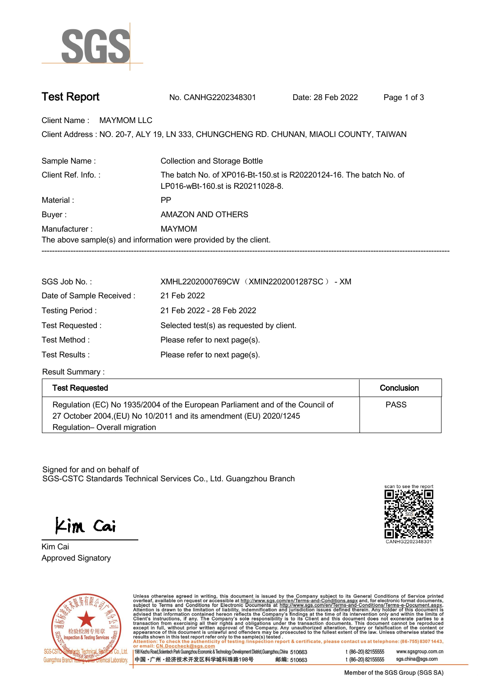

| <b>Test Report</b> | No. CANHG2202348301 | Date: 28 Feb 2022 | Page 1 of 3 |
|--------------------|---------------------|-------------------|-------------|
|--------------------|---------------------|-------------------|-------------|

**Client Name : MAYMOM LLC.**

Client Address : NO. 20-7, ALY 19, LN 333, CHUNGCHENG RD. CHUNAN, MIAOLI COUNTY, TAIWAN<br>.

| Sample Name:                                                                                | <b>Collection and Storage Bottle</b>                                                                   |  |  |  |
|---------------------------------------------------------------------------------------------|--------------------------------------------------------------------------------------------------------|--|--|--|
| Client Ref. Info.:                                                                          | The batch No. of XP016-Bt-150.st is R20220124-16. The batch No. of<br>LP016-wBt-160.st is R20211028-8. |  |  |  |
| Material:                                                                                   | РP                                                                                                     |  |  |  |
| Buyer:                                                                                      | AMAZON AND OTHERS                                                                                      |  |  |  |
| Manufacturer:<br>MAYMOM<br>The above sample(s) and information were provided by the client. |                                                                                                        |  |  |  |

| SGS Job No.:             | XMHL2202000769CW (XMIN2202001287SC) - XM |  |  |
|--------------------------|------------------------------------------|--|--|
| Date of Sample Received: | 21 Feb 2022                              |  |  |
| Testing Period:          | 21 Feb 2022 - 28 Feb 2022                |  |  |
| Test Requested:          | Selected test(s) as requested by client. |  |  |
| Test Method :            | Please refer to next page(s).            |  |  |
| Test Results :           | Please refer to next page(s).            |  |  |

**Result Summary :.**

| <b>Test Requested</b>                                                                                                                              | Conclusion  |
|----------------------------------------------------------------------------------------------------------------------------------------------------|-------------|
| Regulation (EC) No 1935/2004 of the European Parliament and of the Council of<br>27 October 2004, (EU) No 10/2011 and its amendment (EU) 2020/1245 | <b>PASS</b> |
| Regulation-Overall migration                                                                                                                       |             |

Signed for and on behalf of SGS-CSTC Standards Technical Services Co., Ltd. Guangzhou Branch.

Kim Cai

**Approved Signatory . . . Kim Cai.**





Unless otherwise agreed in writing, this document is issued by the Company subject to its General Conditions of Service printed overleaf, available on request or accessible at http://www.sgs.com/en/Terms-and-Conditions.as

198 Kezhu Road, Scientech Park Guangzhou Economic & Technology Development District, Guangzhou, China 510663 中国·广州·经济技术开发区科学城科珠路198号 邮编: 510663 t (86-20) 82155555 www.sgsgroup.com.cn sgs.china@sgs.com t (86-20) 82155555

Member of the SGS Group (SGS SA)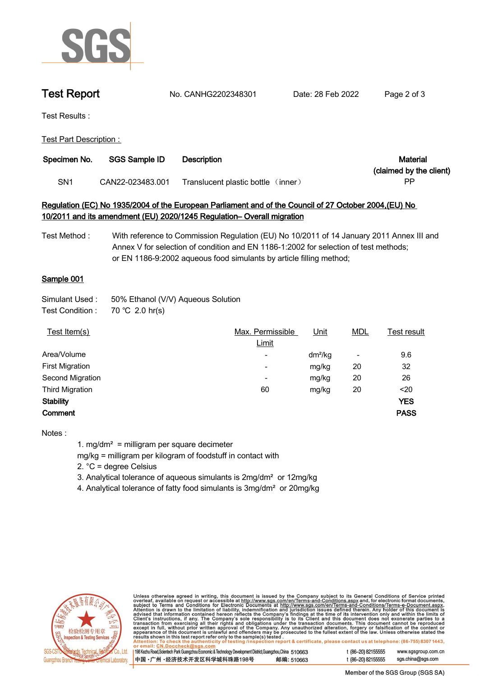

**Test Report. No. CANHG2202348301 . Date: 28 Feb 2022. Page 2 of 3.**

**Test Results :.**

**Test Part Description : .**

| Specimen No.    | SGS Sample ID    | <b>Description</b>                   | Material                |
|-----------------|------------------|--------------------------------------|-------------------------|
|                 |                  |                                      | (claimed by the client) |
| SN <sub>1</sub> | CAN22-023483.001 | Translucent plastic bottle<br>(nner) | РF                      |

## **Regulation (EC) No 1935/2004 of the European Parliament and of the Council of 27 October 2004,(EU) No 10/2011 and its amendment (EU) 2020/1245 Regulation– Overall migration**

**Test Method : With reference to Commission Regulation (EU) No 10/2011 of 14 January 2011 Annex III and Annex V for selection of condition and EN 1186-1:2002 for selection of test methods; or EN 1186-9:2002 aqueous food simulants by article filling method;**

## **Sample 001.**

| Simulant Used : | 50% Ethanol (V/V) Aqueous Solution |  |  |
|-----------------|------------------------------------|--|--|
|-----------------|------------------------------------|--|--|

**Test Condition :. 70.℃ 2.0.hr(s).**

| Test Item(s)           | Max. Permissible | <u>Unit</u> | <u>MDL</u>               | Test result |
|------------------------|------------------|-------------|--------------------------|-------------|
|                        | Limit            |             |                          |             |
| Area/Volume            | ٠                | $dm^2/kg$   | $\overline{\phantom{a}}$ | 9.6         |
| <b>First Migration</b> | ۰                | mg/kg       | 20                       | 32          |
| Second Migration       | ۰                | mg/kg       | 20                       | 26          |
| <b>Third Migration</b> | 60               | mg/kg       | 20                       | $20$        |
| <b>Stability</b>       |                  |             |                          | <b>YES</b>  |
| Comment                |                  |             |                          | <b>PASS</b> |
|                        |                  |             |                          |             |

**Notes :**

**1. mg/dm² = milligram per square decimeter**

**mg/kg = milligram per kilogram of foodstuff in contact with**

**2. °C = degree Celsius**

**3. Analytical tolerance of aqueous simulants is 2mg/dm² or 12mg/kg**

**4. Analytical tolerance of fatty food simulants is 3mg/dm² or 20mg/kg .**



Unless otherwise agreed in writing, this document is issued by the Company subject to its General Conditions of Service printed overleaf, available on request or accessible at http://www.sgs.com/en/Terms-and-Conditions.as

198 Kezhu Road, Scientech Park Guangzhou Economic & Technology Development District, Guangzhou, China 510663 中国 •广州 •经济技术开发区科学城科珠路198号 邮编: 510663 t (86-20) 82155555 www.sgsgroup.com.cn t (86-20) 82155555 sgs.china@sgs.com